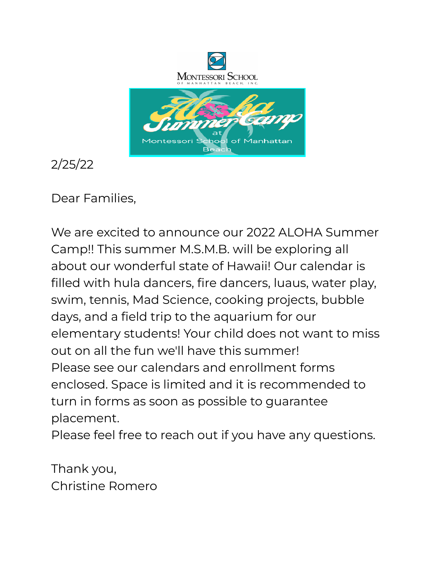

2/25/22

Dear Families,

We are excited to announce our 2022 ALOHA Summer Camp!! This summer M.S.M.B. will be exploring all about our wonderful state of Hawaii! Our calendar is filled with hula dancers, fire dancers, luaus, water play, swim, tennis, Mad Science, cooking projects, bubble days, and a field trip to the aquarium for our elementary students! Your child does not want to miss out on all the fun we'll have this summer! Please see our calendars and enrollment forms enclosed. Space is limited and it is recommended to turn in forms as soon as possible to guarantee placement.

Please feel free to reach out if you have any questions.

Thank you, Christine Romero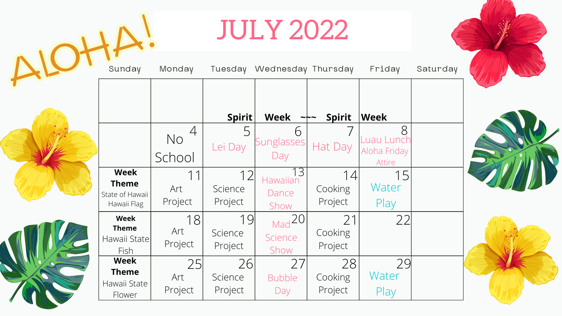|                                                               |                      |                          | <b>JULY 2022</b>             |                          |                               |
|---------------------------------------------------------------|----------------------|--------------------------|------------------------------|--------------------------|-------------------------------|
| Sunday                                                        | Monday               | Tuesday                  | Wednesday Thursday           |                          | Friday                        |
|                                                               |                      | Spirit                   | <b>Week</b>                  | <b>Spirit</b>            | $ {\sf Week} $                |
|                                                               | No<br>School         | Lei Day                  | 6<br>Sunglasses<br>Day       | Hat Day                  | Aloha Friday<br><b>Attire</b> |
| <b>Week</b><br><b>Theme</b><br>State of Hawaii<br>Hawaii Flag | Art<br>Project       | 1つ<br>Science<br>Project | 3<br>Dance<br>Show           | Cooking<br>Project       | Water<br>Play                 |
| <b>Week</b><br><b>Theme</b><br>Hawaii State<br>Fish           | 18<br>Art<br>Project | 19<br>Science<br>Project | $Mad^2O1$<br>Science<br>Show | 21<br>Cooking<br>Project | 22                            |
| <b>Week</b><br><b>Theme</b><br>Hawaii State<br>Flower         | 25<br>Art<br>Project | 26<br>Science<br>Project | 27<br><b>Bubble</b><br>Day   | 28<br>Cooking<br>Project | 29<br>Water<br>Play           |

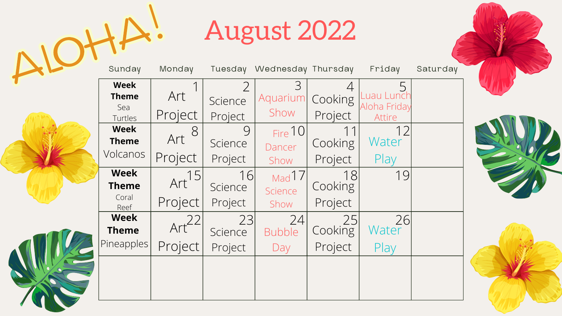|                                               |                              |                          | August 2022                 |                          |                                   |          |  |
|-----------------------------------------------|------------------------------|--------------------------|-----------------------------|--------------------------|-----------------------------------|----------|--|
| Sunday                                        | Monday                       | Tuesday                  | Wednesday Thursday          |                          | Friday                            | Saturday |  |
| <b>Week</b><br><b>Theme</b><br>Sea<br>Turtles | Art<br>Project               | Science<br>Project       | Aquarium<br>Show            | Cooking<br>Project       | uau Lun<br>Aloha Friday<br>Attire |          |  |
| <b>Week</b><br><b>Theme</b><br>Volcanos       | 8<br>Art<br>Project          | 9<br>Science<br>Project  | Fire $10$<br>Dancer<br>Show | Cooking<br>Project       | Water<br>Play                     |          |  |
| <b>Week</b><br><b>Theme</b><br>Coral<br>Reef  | Art <sup>15</sup><br>Project | 16<br>Science<br>Project | Mad17<br>Science<br>Show    | 18<br>Cooking<br>Project | 19                                |          |  |
| <b>Week</b><br><b>Theme</b><br>Pineapples     | Art<br>Project               | 23<br>Science<br>Project | 24<br><b>Bubble</b><br>Day  | 25<br>Cooking<br>Project | 26<br>Water<br>Play               |          |  |
|                                               |                              |                          |                             |                          |                                   |          |  |